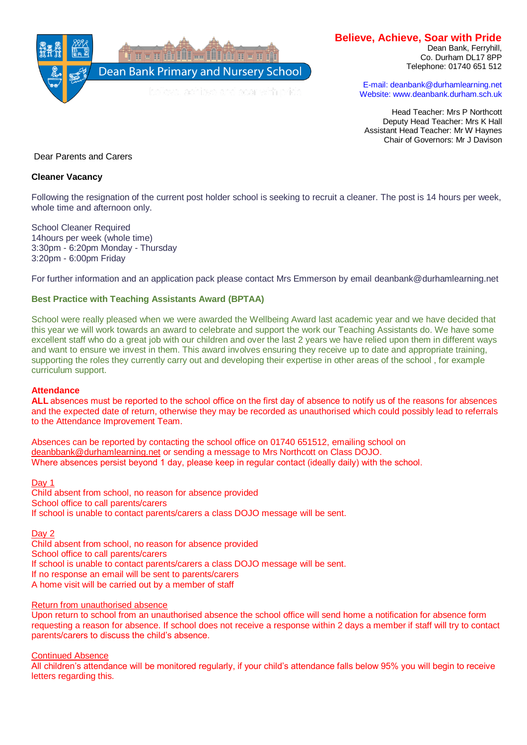

# **Believe, Achieve, Soar with Pride**

Dean Bank, Ferryhill, Co. Durham DL17 8PP Telephone: 01740 651 512

E-mail: deanbank@durhamlearning.net Website: www.deanbank.durham.sch.uk

Head Teacher: Mrs P Northcott Deputy Head Teacher: Mrs K Hall Assistant Head Teacher: Mr W Haynes Chair of Governors: Mr J Davison

Dear Parents and Carers

# **Cleaner Vacancy**

Following the resignation of the current post holder school is seeking to recruit a cleaner. The post is 14 hours per week, whole time and afternoon only.

School Cleaner Required 14hours per week (whole time) 3:30pm - 6:20pm Monday - Thursday 3:20pm - 6:00pm Friday

For further information and an application pack please contact Mrs Emmerson by email deanbank@durhamlearning.net

# **Best Practice with Teaching Assistants Award (BPTAA)**

School were really pleased when we were awarded the Wellbeing Award last academic year and we have decided that this year we will work towards an award to celebrate and support the work our Teaching Assistants do. We have some excellent staff who do a great job with our children and over the last 2 years we have relied upon them in different ways and want to ensure we invest in them. This award involves ensuring they receive up to date and appropriate training, supporting the roles they currently carry out and developing their expertise in other areas of the school , for example curriculum support.

## **Attendance**

**ALL** absences must be reported to the school office on the first day of absence to notify us of the reasons for absences and the expected date of return, otherwise they may be recorded as unauthorised which could possibly lead to referrals to the Attendance Improvement Team.

Absences can be reported by contacting the school office on 01740 651512, emailing school on [deanbbank@durhamlearning.net](mailto:deanbbank@durhamlearning.net) or sending a message to Mrs Northcott on Class DOJO. Where absences persist beyond 1 day, please keep in regular contact (ideally daily) with the school.  

## Day 1

Child absent from school, no reason for absence provided School office to call parents/carers If school is unable to contact parents/carers a class DOJO message will be sent.

Day 2

Child absent from school, no reason for absence provided School office to call parents/carers If school is unable to contact parents/carers a class DOJO message will be sent. If no response an email will be sent to parents/carers A home visit will be carried out by a member of staff

## Return from unauthorised absence

Upon return to school from an unauthorised absence the school office will send home a notification for absence form requesting a reason for absence. If school does not receive a response within 2 days a member if staff will try to contact parents/carers to discuss the child's absence.

Continued Absence

All children's attendance will be monitored regularly, if your child's attendance falls below 95% you will begin to receive letters regarding this.